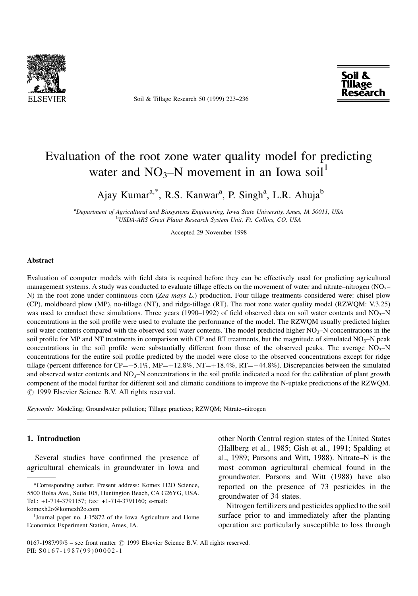

Soil & Tillage Research 50 (1999) 223-236



# Evaluation of the root zone water quality model for predicting water and  $NO_3-N$  movement in an Iowa soil<sup>1</sup>

Ajay Kumar<sup>a,\*</sup>, R.S. Kanwar<sup>a</sup>, P. Singh<sup>a</sup>, L.R. Ahuja<sup>b</sup>

<sup>a</sup>Department of Agricultural and Biosystems Engineering, Iowa State University, Ames, IA 50011, USA b USDA-ARS Great Plains Research System Unit, Ft. Collins, CO, USA

Accepted 29 November 1998

#### Abstract

Evaluation of computer models with field data is required before they can be effectively used for predicting agricultural management systems. A study was conducted to evaluate tillage effects on the movement of water and nitrate–nitrogen ( $NO<sub>3</sub>$ – N) in the root zone under continuous corn (Zea mays L.) production. Four tillage treatments considered were: chisel plow (CP), moldboard plow (MP), no-tillage (NT), and ridge-tillage (RT). The root zone water quality model (RZWQM: V.3.25) was used to conduct these simulations. Three years (1990–1992) of field observed data on soil water contents and  $NO<sub>3</sub>–N$ concentrations in the soil profile were used to evaluate the performance of the model. The RZWQM usually predicted higher soil water contents compared with the observed soil water contents. The model predicted higher  $NO<sub>3</sub>-N$  concentrations in the soil profile for MP and NT treatments in comparison with CP and RT treatments, but the magnitude of simulated  $NO_3$ –N peak concentrations in the soil profile were substantially different from those of the observed peaks. The average  $NO<sub>3</sub>$ -N concentrations for the entire soil profile predicted by the model were close to the observed concentrations except for ridge tillage (percent difference for  $CP = +5.1\%$ , MP $= +12.8\%$ , NT $= +18.4\%$ , RT $= -44.8\%$ ). Discrepancies between the simulated and observed water contents and  $NO<sub>3</sub>-N$  concentrations in the soil profile indicated a need for the calibration of plant growth component of the model further for different soil and climatic conditions to improve the N-uptake predictions of the RZWQM.  $\odot$  1999 Elsevier Science B.V. All rights reserved.

Keywords: Modeling; Groundwater pollution; Tillage practices; RZWQM; Nitrate–nitrogen

## 1. Introduction

Several studies have confirmed the presence of agricultural chemicals in groundwater in Iowa and

other North Central region states of the United States (Hallberg et al., 1985; Gish et al., 1991; Spalding et al., 1989; Parsons and Witt, 1988). Nitrate-N is the most common agricultural chemical found in the groundwater. Parsons and Witt (1988) have also reported on the presence of 73 pesticides in the groundwater of 34 states.

Nitrogen fertilizers and pesticides applied to the soil surface prior to and immediately after the planting operation are particularly susceptible to loss through

<sup>\*</sup>Corresponding author. Present address: Komex H2O Science, 5500 Bolsa Ave., Suite 105, Huntington Beach, CA G26YG, USA. Tel.: +1-714-3791157; fax: +1-714-3791160; e-mail: komexh2o@komexh2o.com

<sup>&</sup>lt;sup>1</sup>Journal paper no. J-15872 of the Iowa Agriculture and Home

Economics Experiment Station, Ames, IA.

<sup>0167-1987/99/\$ -</sup> see front matter  $\odot$  1999 Elsevier Science B.V. All rights reserved. PII: S 0167-1987(99)00002-1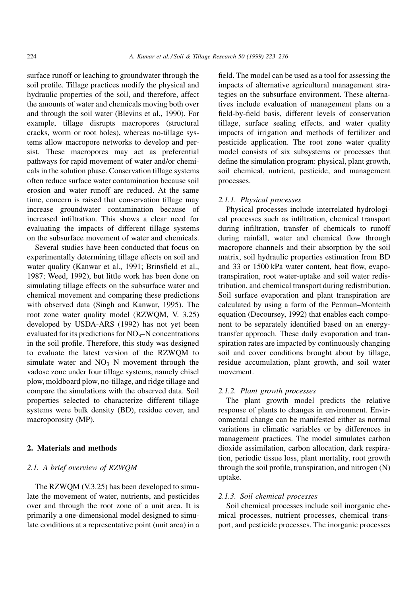surface runoff or leaching to groundwater through the soil profile. Tillage practices modify the physical and hydraulic properties of the soil, and therefore, affect the amounts of water and chemicals moving both over and through the soil water (Blevins et al., 1990). For example, tillage disrupts macropores (structural cracks, worm or root holes), whereas no-tillage systems allow macropore networks to develop and persist. These macropores may act as preferential pathways for rapid movement of water and/or chemicals in the solution phase. Conservation tillage systems often reduce surface water contamination because soil erosion and water runoff are reduced. At the same time, concern is raised that conservation tillage may increase groundwater contamination because of increased infiltration. This shows a clear need for evaluating the impacts of different tillage systems on the subsurface movement of water and chemicals.

Several studies have been conducted that focus on experimentally determining tillage effects on soil and water quality (Kanwar et al., 1991; Brinsfield et al., 1987; Weed, 1992), but little work has been done on simulating tillage effects on the subsurface water and chemical movement and comparing these predictions with observed data (Singh and Kanwar, 1995). The root zone water quality model (RZWQM, V. 3.25) developed by USDA-ARS (1992) has not yet been evaluated for its predictions for  $NO<sub>3</sub>–N$  concentrations in the soil profile. Therefore, this study was designed to evaluate the latest version of the RZWQM to simulate water and  $NO_3-N$  movement through the vadose zone under four tillage systems, namely chisel plow, moldboard plow, no-tillage, and ridge tillage and compare the simulations with the observed data. Soil properties selected to characterize different tillage systems were bulk density (BD), residue cover, and macroporosity (MP).

## 2. Materials and methods

# 2.1. A brief overview of RZWQM

The RZWQM (V.3.25) has been developed to simulate the movement of water, nutrients, and pesticides over and through the root zone of a unit area. It is primarily a one-dimensional model designed to simulate conditions at a representative point (unit area) in a

field. The model can be used as a tool for assessing the impacts of alternative agricultural management strategies on the subsurface environment. These alternatives include evaluation of management plans on a field-by-field basis, different levels of conservation tillage, surface sealing effects, and water quality impacts of irrigation and methods of fertilizer and pesticide application. The root zone water quality model consists of six subsystems or processes that define the simulation program: physical, plant growth, soil chemical, nutrient, pesticide, and management processes.

## 2.1.1. Physical processes

Physical processes include interrelated hydrological processes such as infiltration, chemical transport during infiltration, transfer of chemicals to runoff during rainfall, water and chemical flow through macropore channels and their absorption by the soil matrix, soil hydraulic properties estimation from BD and  $33$  or  $1500$  kPa water content, heat flow, evapotranspiration, root water-uptake and soil water redistribution, and chemical transport during redistribution. Soil surface evaporation and plant transpiration are calculated by using a form of the Penman-Monteith equation (Decoursey, 1992) that enables each component to be separately identified based on an energytransfer approach. These daily evaporation and transpiration rates are impacted by continuously changing soil and cover conditions brought about by tillage, residue accumulation, plant growth, and soil water movement.

## 2.1.2. Plant growth processes

The plant growth model predicts the relative response of plants to changes in environment. Environmental change can be manifested either as normal variations in climatic variables or by differences in management practices. The model simulates carbon dioxide assimilation, carbon allocation, dark respiration, periodic tissue loss, plant mortality, root growth through the soil profile, transpiration, and nitrogen (N) uptake.

## 2.1.3. Soil chemical processes

Soil chemical processes include soil inorganic chemical processes, nutrient processes, chemical transport, and pesticide processes. The inorganic processes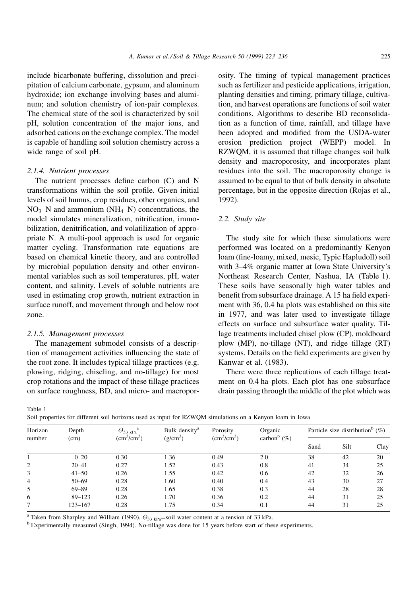include bicarbonate buffering, dissolution and precipitation of calcium carbonate, gypsum, and aluminum hydroxide; ion exchange involving bases and aluminum; and solution chemistry of ion-pair complexes. The chemical state of the soil is characterized by soil pH, solution concentration of the major ions, and adsorbed cations on the exchange complex. The model is capable of handling soil solution chemistry across a wide range of soil pH.

### 2.1.4. Nutrient processes

The nutrient processes define carbon  $(C)$  and N transformations within the soil profile. Given initial levels of soil humus, crop residues, other organics, and  $NO_3-N$  and ammonium ( $NH_4-N$ ) concentrations, the model simulates mineralization, nitrification, immobilization, denitrification, and volatilization of appropriate N. A multi-pool approach is used for organic matter cycling. Transformation rate equations are based on chemical kinetic theory, and are controlled by microbial population density and other environmental variables such as soil temperatures, pH, water content, and salinity. Levels of soluble nutrients are used in estimating crop growth, nutrient extraction in surface runoff, and movement through and below root zone.

## 2.1.5. Management processes

The management submodel consists of a description of management activities influencing the state of the root zone. It includes typical tillage practices (e.g. plowing, ridging, chiseling, and no-tillage) for most crop rotations and the impact of these tillage practices on surface roughness, BD, and micro- and macropor-

osity. The timing of typical management practices such as fertilizer and pesticide applications, irrigation, planting densities and timing, primary tillage, cultivation, and harvest operations are functions of soil water conditions. Algorithms to describe BD reconsolidation as a function of time, rainfall, and tillage have been adopted and modified from the USDA-water erosion prediction project (WEPP) model. In RZWQM, it is assumed that tillage changes soil bulk density and macroporosity, and incorporates plant residues into the soil. The macroporosity change is assumed to be equal to that of bulk density in absolute percentage, but in the opposite direction (Rojas et al., 1992).

## 2.2. Study site

The study site for which these simulations were performed was located on a predominantly Kenyon loam (fine-loamy, mixed, mesic, Typic Hapludoll) soil with 3–4% organic matter at Iowa State University's Northeast Research Center, Nashua, IA (Table 1). These soils have seasonally high water tables and benefit from subsurface drainage. A 15 ha field experiment with 36, 0.4 ha plots was established on this site in 1977, and was later used to investigate tillage effects on surface and subsurface water quality. Tillage treatments included chisel plow (CP), moldboard plow (MP), no-tillage (NT), and ridge tillage (RT) systems. Details on the field experiments are given by Kanwar et al. (1983).

There were three replications of each tillage treatment on 0.4 ha plots. Each plot has one subsurface drain passing through the middle of the plot which was

Table 1

Soil properties for different soil horizons used as input for RZWQM simulations on a Kenyon loam in Iowa

| Suit properties for unferent son nonzons used as input for RZWQWI simulations on a Renyon foam in fowa |               |                                                              |                                         |                                         |                                       |                                                |      |      |
|--------------------------------------------------------------------------------------------------------|---------------|--------------------------------------------------------------|-----------------------------------------|-----------------------------------------|---------------------------------------|------------------------------------------------|------|------|
| Horizon<br>number                                                                                      | Depth<br>(cm) | $\Theta_{33\;kPa}^{\qquad a}$<br>$\text{cm}^3/\text{cm}^3$ ) | Bulk density <sup>a</sup><br>$(g/cm^3)$ | Porosity<br>$\text{cm}^3/\text{cm}^3$ ) | Organic<br>carbon <sup>b</sup> $(\%)$ | Particle size distribution <sup>b</sup> $(\%)$ |      |      |
|                                                                                                        |               |                                                              |                                         |                                         |                                       | Sand                                           | Silt | Clay |
|                                                                                                        | $0 - 20$      | 0.30                                                         | 1.36                                    | 0.49                                    | 2.0                                   | 38                                             | 42   | 20   |
| 2                                                                                                      | $20 - 41$     | 0.27                                                         | 1.52                                    | 0.43                                    | 0.8                                   | 41                                             | 34   | 25   |
| 3                                                                                                      | $41 - 50$     | 0.26                                                         | 1.55                                    | 0.42                                    | 0.6                                   | 42                                             | 32   | 26   |
| $\overline{4}$                                                                                         | $50 - 69$     | 0.28                                                         | 1.60                                    | 0.40                                    | 0.4                                   | 43                                             | 30   | 27   |
| 5                                                                                                      | $69 - 89$     | 0.28                                                         | 1.65                                    | 0.38                                    | 0.3                                   | 44                                             | 28   | 28   |
| 6                                                                                                      | $89 - 123$    | 0.26                                                         | 1.70                                    | 0.36                                    | 0.2                                   | 44                                             | 31   | 25   |
|                                                                                                        | $123 - 167$   | 0.28                                                         | 1.75                                    | 0.34                                    | 0.1                                   | 44                                             | 31   | 25   |

<sup>a</sup> Taken from Sharpley and William (1990).  $\Theta_{33 \text{ kPa}}$ =soil water content at a tension of 33 kPa.

<sup>b</sup> Experimentally measured (Singh, 1994). No-tillage was done for 15 years before start of these experiments.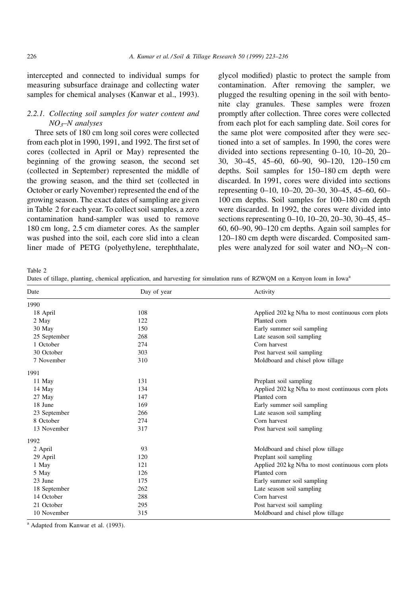intercepted and connected to individual sumps for measuring subsurface drainage and collecting water samples for chemical analyses (Kanwar et al., 1993).

# 2.2.1. Collecting soil samples for water content and  $NO<sub>3</sub>–N$  analyses

Three sets of 180 cm long soil cores were collected from each plot in 1990, 1991, and 1992. The first set of cores (collected in April or May) represented the beginning of the growing season, the second set (collected in September) represented the middle of the growing season, and the third set (collected in October or early November) represented the end of the growing season. The exact dates of sampling are given in Table 2 for each year. To collect soil samples, a zero contamination hand-sampler was used to remove 180 cm long, 2.5 cm diameter cores. As the sampler was pushed into the soil, each core slid into a clean liner made of PETG (polyethylene, terephthalate,

glycol modified) plastic to protect the sample from contamination. After removing the sampler, we plugged the resulting opening in the soil with bentonite clay granules. These samples were frozen promptly after collection. Three cores were collected from each plot for each sampling date. Soil cores for the same plot were composited after they were sectioned into a set of samples. In 1990, the cores were divided into sections representing  $0-10$ ,  $10-20$ ,  $20-$ 30, 30–45, 45–60, 60–90, 90–120, 120–150 cm depths. Soil samples for 150–180 cm depth were discarded. In 1991, cores were divided into sections representing  $0-10$ ,  $10-20$ ,  $20-30$ ,  $30-45$ ,  $45-60$ ,  $60 100 \text{ cm}$  depths. Soil samples for  $100-180 \text{ cm}$  depth were discarded. In 1992, the cores were divided into sections representing  $0-10$ ,  $10-20$ ,  $20-30$ ,  $30-45$ ,  $45 60, 60-90, 90-120$  cm depths. Again soil samples for 120-180 cm depth were discarded. Composited samples were analyzed for soil water and  $NO<sub>3</sub>–N$  con-

Table 2

Dates of tillage, planting, chemical application, and harvesting for simulation runs of RZWOM on a Kenyon loam in Iowa<sup>a</sup>

| Date         | Day of year | Activity                                          |
|--------------|-------------|---------------------------------------------------|
| 1990         |             |                                                   |
| 18 April     | 108         | Applied 202 kg N/ha to most continuous corn plots |
| 2 May        | 122         | Planted corn                                      |
| 30 May       | 150         | Early summer soil sampling                        |
| 25 September | 268         | Late season soil sampling                         |
| 1 October    | 274         | Corn harvest                                      |
| 30 October   | 303         | Post harvest soil sampling                        |
| 7 November   | 310         | Moldboard and chisel plow tillage                 |
| 1991         |             |                                                   |
| 11 May       | 131         | Preplant soil sampling                            |
| 14 May       | 134         | Applied 202 kg N/ha to most continuous corn plots |
| 27 May       | 147         | Planted corn                                      |
| 18 June      | 169         | Early summer soil sampling                        |
| 23 September | 266         | Late season soil sampling                         |
| 8 October    | 274         | Corn harvest                                      |
| 13 November  | 317         | Post harvest soil sampling                        |
| 1992         |             |                                                   |
| 2 April      | 93          | Moldboard and chisel plow tillage                 |
| 29 April     | 120         | Preplant soil sampling                            |
| 1 May        | 121         | Applied 202 kg N/ha to most continuous corn plots |
| 5 May        | 126         | Planted corn                                      |
| 23 June      | 175         | Early summer soil sampling                        |
| 18 September | 262         | Late season soil sampling                         |
| 14 October   | 288         | Corn harvest                                      |
| 21 October   | 295         | Post harvest soil sampling                        |
| 10 November  | 315         | Moldboard and chisel plow tillage                 |

<sup>a</sup> Adapted from Kanwar et al. (1993).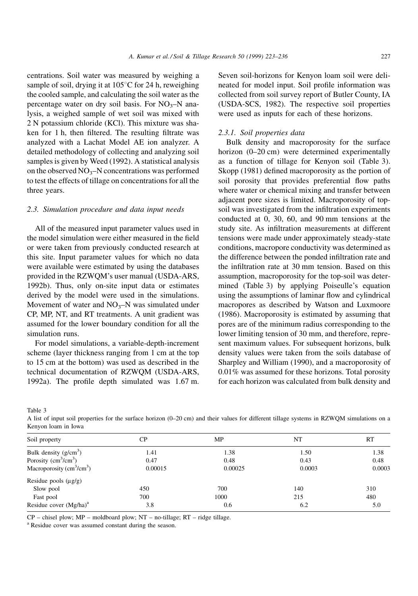centrations. Soil water was measured by weighing a sample of soil, drying it at  $105^{\circ}$ C for 24 h, reweighing the cooled sample, and calculating the soil water as the percentage water on dry soil basis. For  $NO_3-N$  analysis, a weighed sample of wet soil was mixed with 2 N potassium chloride (KCl). This mixture was shaken for 1 h, then filtered. The resulting filtrate was analyzed with a Lachat Model AE ion analyzer. A detailed methodology of collecting and analyzing soil samples is given by Weed (1992). A statistical analysis on the observed  $NO_3$ -N concentrations was performed to test the effects of tillage on concentrations for all the three years.

## 2.3. Simulation procedure and data input needs

All of the measured input parameter values used in the model simulation were either measured in the field or were taken from previously conducted research at this site. Input parameter values for which no data were available were estimated by using the databases provided in the RZWQM's user manual (USDA-ARS, 1992b). Thus, only on-site input data or estimates derived by the model were used in the simulations. Movement of water and  $NO<sub>3</sub>–N$  was simulated under CP, MP, NT, and RT treatments. A unit gradient was assumed for the lower boundary condition for all the simulation runs.

For model simulations, a variable-depth-increment scheme (layer thickness ranging from 1 cm at the top to 15 cm at the bottom) was used as described in the technical documentation of RZWQM (USDA-ARS, 1992a). The profile depth simulated was  $1.67$  m. Seven soil-horizons for Kenyon loam soil were delineated for model input. Soil profile information was collected from soil survey report of Butler County, IA (USDA-SCS, 1982). The respective soil properties were used as inputs for each of these horizons.

#### 2.3.1. Soil properties data

Bulk density and macroporosity for the surface horizon (0-20 cm) were determined experimentally as a function of tillage for Kenyon soil (Table 3). Skopp  $(1981)$  defined macroporosity as the portion of soil porosity that provides preferential flow paths where water or chemical mixing and transfer between adjacent pore sizes is limited. Macroporosity of topsoil was investigated from the infiltration experiments conducted at 0, 30, 60, and 90 mm tensions at the study site. As infiltration measurements at different tensions were made under approximately steady-state conditions, macropore conductivity was determined as the difference between the ponded infiltration rate and the infiltration rate at 30 mm tension. Based on this assumption, macroporosity for the top-soil was determined (Table 3) by applying Poiseulle's equation using the assumptions of laminar flow and cylindrical macropores as described by Watson and Luxmoore (1986). Macroporosity is estimated by assuming that pores are of the minimum radius corresponding to the lower limiting tension of 30 mm, and therefore, represent maximum values. For subsequent horizons, bulk density values were taken from the soils database of Sharpley and William (1990), and a macroporosity of 0.01% was assumed for these horizons. Total porosity for each horizon was calculated from bulk density and

Table 3

A list of input soil properties for the surface horizon (0-20 cm) and their values for different tillage systems in RZWQM simulations on a Kenyon loam in Iowa

| Soil property                             | CP      | MP      | NT     | <b>RT</b> |
|-------------------------------------------|---------|---------|--------|-----------|
| Bulk density $(g/cm^3)$                   | 1.41    | 1.38    | 1.50   | 1.38      |
| Porosity $(cm3/cm3)$                      | 0.47    | 0.48    | 0.43   | 0.48      |
| Macroporosity $\text{cm}^3/\text{cm}^3$ ) | 0.00015 | 0.00025 | 0.0003 | 0.0003    |
| Residue pools $(\mu g/g)$                 |         |         |        |           |
| Slow pool                                 | 450     | 700     | 140    | 310       |
| Fast pool                                 | 700     | 1000    | 215    | 480       |
| Residue cover $(Mg/ha)^a$                 | 3.8     | 0.6     | 6.2    | 5.0       |

 $CP$  – chisel plow;  $MP$  – moldboard plow;  $NT$  – no-tillage;  $RT$  – ridge tillage.

<sup>a</sup> Residue cover was assumed constant during the season.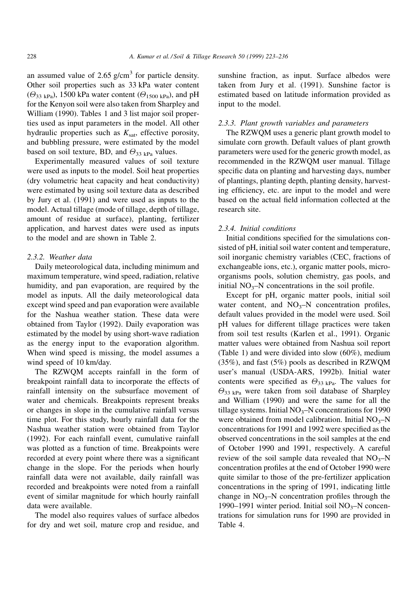an assumed value of 2.65  $g/cm<sup>3</sup>$  for particle density. Other soil properties such as 33 kPa water content  $(\Theta_{33 \text{ kPa}})$ , 1500 kPa water content  $(\Theta_{1500 \text{ kPa}})$ , and pH for the Kenyon soil were also taken from Sharpley and William (1990). Tables 1 and 3 list major soil properties used as input parameters in the model. All other hydraulic properties such as  $K_{\text{sat}}$ , effective porosity, and bubbling pressure, were estimated by the model based on soil texture, BD, and  $\Theta_{33 \text{ kPa}}$  values.

Experimentally measured values of soil texture were used as inputs to the model. Soil heat properties (dry volumetric heat capacity and heat conductivity) were estimated by using soil texture data as described by Jury et al. (1991) and were used as inputs to the model. Actual tillage (mode of tillage, depth of tillage, amount of residue at surface), planting, fertilizer application, and harvest dates were used as inputs to the model and are shown in Table 2.

## 2.3.2. Weather data

Daily meteorological data, including minimum and maximum temperature, wind speed, radiation, relative humidity, and pan evaporation, are required by the model as inputs. All the daily meteorological data except wind speed and pan evaporation were available for the Nashua weather station. These data were obtained from Taylor (1992). Daily evaporation was estimated by the model by using short-wave radiation as the energy input to the evaporation algorithm. When wind speed is missing, the model assumes a wind speed of 10 km/day.

The RZWQM accepts rainfall in the form of breakpoint rainfall data to incorporate the effects of rainfall intensity on the subsurface movement of water and chemicals. Breakpoints represent breaks or changes in slope in the cumulative rainfall versus time plot. For this study, hourly rainfall data for the Nashua weather station were obtained from Taylor (1992). For each rainfall event, cumulative rainfall was plotted as a function of time. Breakpoints were recorded at every point where there was a significant change in the slope. For the periods when hourly rainfall data were not available, daily rainfall was recorded and breakpoints were noted from a rainfall event of similar magnitude for which hourly rainfall data were available.

The model also requires values of surface albedos for dry and wet soil, mature crop and residue, and sunshine fraction, as input. Surface albedos were taken from Jury et al. (1991). Sunshine factor is estimated based on latitude information provided as input to the model.

## 2.3.3. Plant growth variables and parameters

The RZWQM uses a generic plant growth model to simulate corn growth. Default values of plant growth parameters were used for the generic growth model, as recommended in the RZWQM user manual. Tillage specific data on planting and harvesting days, number of plantings, planting depth, planting density, harvesting efficiency, etc. are input to the model and were based on the actual field information collected at the research site.

## 2.3.4. Initial conditions

Initial conditions specified for the simulations consisted of pH, initial soil water content and temperature, soil inorganic chemistry variables (CEC, fractions of exchangeable ions, etc.), organic matter pools, microorganisms pools, solution chemistry, gas pools, and initial  $NO_3$ -N concentrations in the soil profile.

Except for pH, organic matter pools, initial soil water content, and  $NO<sub>3</sub>–N$  concentration profiles, default values provided in the model were used. Soil pH values for different tillage practices were taken from soil test results (Karlen et al., 1991). Organic matter values were obtained from Nashua soil report (Table 1) and were divided into slow (60%), medium (35%), and fast (5%) pools as described in RZWQM user's manual (USDA-ARS, 1992b). Initial water contents were specified as  $\Theta_{33 \text{ kPa}}$ . The values for  $\Theta_{33 \text{ kPa}}$  were taken from soil database of Sharpley and William (1990) and were the same for all the tillage systems. Initial  $NO_3-N$  concentrations for 1990 were obtained from model calibration. Initial  $NO<sub>3</sub>–N$ concentrations for 1991 and 1992 were specified as the observed concentrations in the soil samples at the end of October 1990 and 1991, respectively. A careful review of the soil sample data revealed that  $NO<sub>3</sub>–N$ concentration profiles at the end of October 1990 were quite similar to those of the pre-fertilizer application concentrations in the spring of 1991, indicating little change in  $NO<sub>3</sub>–N$  concentration profiles through the 1990–1991 winter period. Initial soil  $NO<sub>3</sub>–N$  concentrations for simulation runs for 1990 are provided in Table 4.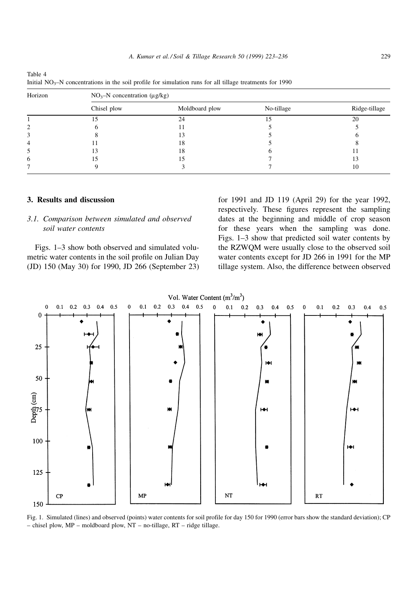| Horizon | $NO_3-N$ concentration ( $\mu$ g/kg) |                |            |               |  |  |
|---------|--------------------------------------|----------------|------------|---------------|--|--|
|         | Chisel plow                          | Moldboard plow | No-tillage | Ridge-tillage |  |  |
|         |                                      | 24             |            | 20            |  |  |
| 2       |                                      | l l            |            |               |  |  |
|         |                                      | 13             |            |               |  |  |
| 4       |                                      | 18             |            |               |  |  |
| 5       | 13                                   | 18             |            |               |  |  |
| 6       |                                      | 5              |            | 13            |  |  |
|         |                                      |                |            | 10            |  |  |

Initial  $NO<sub>3</sub>–N$  concentrations in the soil profile for simulation runs for all tillage treatments for 1990

## 3. Results and discussion

Table 4

# 3.1. Comparison between simulated and observed soil water contents

Figs. 1-3 show both observed and simulated volumetric water contents in the soil profile on Julian Day (JD) 150 (May 30) for 1990, JD 266 (September 23)

for 1991 and JD 119 (April 29) for the year 1992, respectively. These figures represent the sampling dates at the beginning and middle of crop season for these years when the sampling was done. Figs. 1–3 show that predicted soil water contents by the RZWQM were usually close to the observed soil water contents except for JD 266 in 1991 for the MP tillage system. Also, the difference between observed



Fig. 1. Simulated (lines) and observed (points) water contents for soil profile for day 150 for 1990 (error bars show the standard deviation); CP  $-$  chisel plow, MP - moldboard plow, NT - no-tillage, RT - ridge tillage.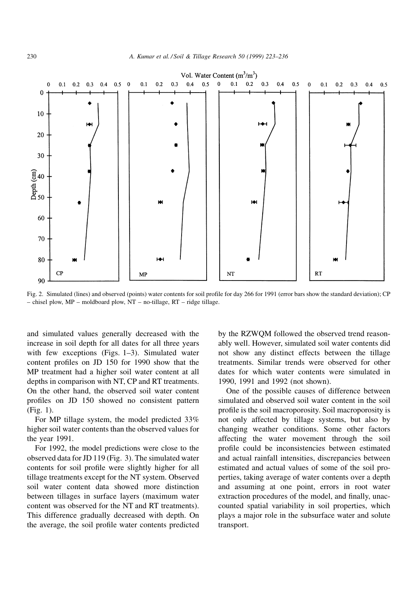

Fig. 2. Simulated (lines) and observed (points) water contents for soil profile for day 266 for 1991 (error bars show the standard deviation); CP  $-$  chisel plow, MP – moldboard plow, NT – no-tillage, RT – ridge tillage.

and simulated values generally decreased with the increase in soil depth for all dates for all three years with few exceptions (Figs.  $1-3$ ). Simulated water content profiles on JD 150 for 1990 show that the MP treatment had a higher soil water content at all depths in comparison with NT, CP and RT treatments. On the other hand, the observed soil water content profiles on JD 150 showed no consistent pattern (Fig. 1).

For MP tillage system, the model predicted 33% higher soil water contents than the observed values for the year 1991.

For 1992, the model predictions were close to the observed data for JD 119 (Fig. 3). The simulated water contents for soil profile were slightly higher for all tillage treatments except for the NT system. Observed soil water content data showed more distinction between tillages in surface layers (maximum water content was observed for the NT and RT treatments). This difference gradually decreased with depth. On the average, the soil profile water contents predicted

by the RZWQM followed the observed trend reasonably well. However, simulated soil water contents did not show any distinct effects between the tillage treatments. Similar trends were observed for other dates for which water contents were simulated in 1990, 1991 and 1992 (not shown).

One of the possible causes of difference between simulated and observed soil water content in the soil profile is the soil macroporosity. Soil macroporosity is not only affected by tillage systems, but also by changing weather conditions. Some other factors affecting the water movement through the soil profile could be inconsistencies between estimated and actual rainfall intensities, discrepancies between estimated and actual values of some of the soil properties, taking average of water contents over a depth and assuming at one point, errors in root water extraction procedures of the model, and finally, unaccounted spatial variability in soil properties, which plays a major role in the subsurface water and solute transport.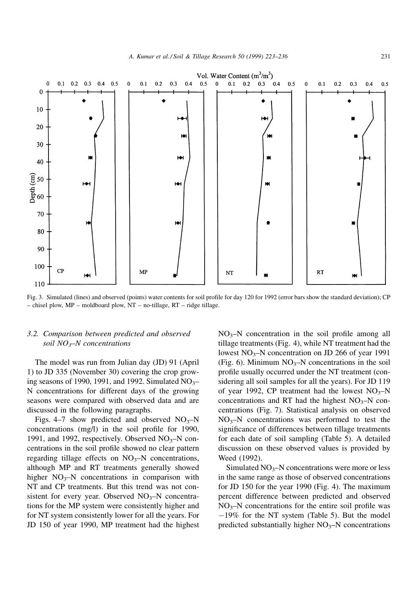

Fig. 3. Simulated (lines) and observed (points) water contents for soil profile for day 120 for 1992 (error bars show the standard deviation); CP  $-$  chisel plow, MP  $-$  moldboard plow, NT  $-$  no-tillage, RT  $-$  ridge tillage.

## 3.2. Comparison between predicted and observed soil  $NO_3$ -N concentrations

The model was run from Julian day (JD) 91 (April 1) to JD 335 (November 30) covering the crop growing seasons of 1990, 1991, and 1992. Simulated  $NO<sub>3</sub>$ N concentrations for different days of the growing seasons were compared with observed data and are discussed in the following paragraphs.

Figs. 4–7 show predicted and observed  $NO<sub>3</sub>–N$ concentrations  $(mg/l)$  in the soil profile for 1990, 1991, and 1992, respectively. Observed  $NO<sub>3</sub>–N$  concentrations in the soil profile showed no clear pattern regarding tillage effects on  $NO<sub>3</sub>–N$  concentrations, although MP and RT treatments generally showed higher  $NO_3-N$  concentrations in comparison with NT and CP treatments. But this trend was not consistent for every year. Observed  $NO<sub>3</sub>–N$  concentrations for the MP system were consistently higher and for NT system consistently lower for all the years. For JD 150 of year 1990, MP treatment had the highest

 $NO<sub>3</sub>–N$  concentration in the soil profile among all tillage treatments (Fig. 4), while NT treatment had the lowest  $NO_3$ -N concentration on JD 266 of year 1991 (Fig. 6). Minimum  $NO<sub>3</sub>-N$  concentrations in the soil profile usually occurred under the NT treatment (considering all soil samples for all the years). For JD 119 of year 1992, CP treatment had the lowest  $NO<sub>3</sub>-N$ concentrations and RT had the highest  $NO<sub>3</sub>–N$  concentrations (Fig. 7). Statistical analysis on observed  $NO<sub>3</sub>–N$  concentrations was performed to test the significance of differences between tillage treatments for each date of soil sampling (Table 5). A detailed discussion on these observed values is provided by Weed (1992).

Simulated  $NO_3$ -N concentrations were more or less in the same range as those of observed concentrations for JD 150 for the year 1990 (Fig. 4). The maximum percent difference between predicted and observed  $NO<sub>3</sub>–N$  concentrations for the entire soil profile was  $-19\%$  for the NT system (Table 5). But the model predicted substantially higher  $NO<sub>3</sub>–N$  concentrations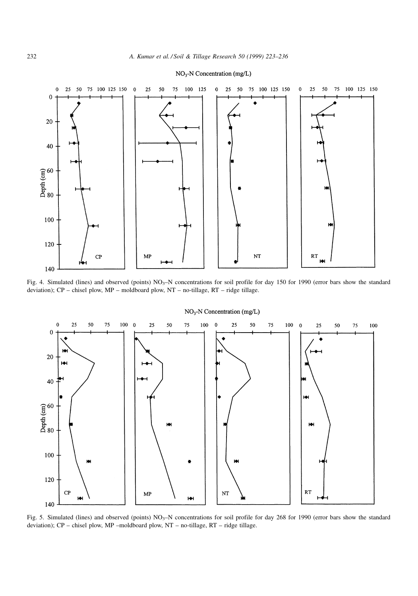

#### NO<sub>3</sub>-N Concentration (mg/L)

Fig. 4. Simulated (lines) and observed (points) NO<sub>3</sub>-N concentrations for soil profile for day 150 for 1990 (error bars show the standard deviation);  $CP$  – chisel plow,  $MP$  – moldboard plow,  $NT$  – no-tillage,  $RT$  – ridge tillage.



 $NO<sub>3</sub>-N$  Concentration (mg/L)

Fig. 5. Simulated (lines) and observed (points) NO<sub>3</sub>-N concentrations for soil profile for day 268 for 1990 (error bars show the standard deviation);  $CP$  – chisel plow,  $MP$  –moldboard plow,  $NT$  – no-tillage,  $RT$  – ridge tillage.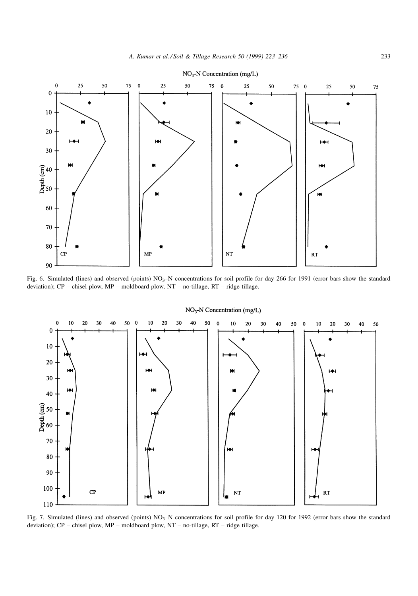

Fig. 6. Simulated (lines) and observed (points) NO<sub>3</sub>-N concentrations for soil profile for day 266 for 1991 (error bars show the standard deviation); CP - chisel plow, MP - moldboard plow, NT - no-tillage, RT - ridge tillage.



 $NO<sub>3</sub>-N$  Concentration (mg/L)

Fig. 7. Simulated (lines) and observed (points) NO<sub>3</sub>-N concentrations for soil profile for day 120 for 1992 (error bars show the standard deviation); CP - chisel plow, MP - moldboard plow, NT - no-tillage, RT - ridge tillage.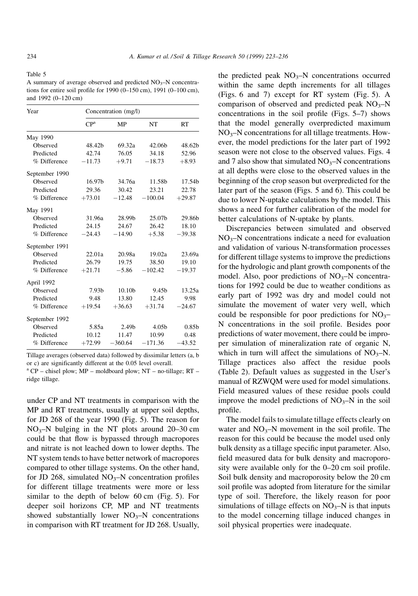Table 5

A summary of average observed and predicted  $NO<sub>3</sub>$ -N concentrations for entire soil profile for 1990 (0-150 cm), 1991 (0-100 cm), and 1992 (0-120 cm)

| Year           | Concentration (mg/l) |           |                   |                   |  |
|----------------|----------------------|-----------|-------------------|-------------------|--|
|                | CP <sup>a</sup>      | MP        | NT                | RT                |  |
| May 1990       |                      |           |                   |                   |  |
| Observed       | 48.42b               | 69.32a    | 42.06b            | 48.62b            |  |
| Predicted      | 42.74                | 76.05     | 34.18             | 52.96             |  |
| % Difference   | $-11.73$             | $+9.71$   | $-18.73$          | $+8.93$           |  |
| September 1990 |                      |           |                   |                   |  |
| Observed       | 16.97b               | 34.76a    | 11.58b            | 17.54b            |  |
| Predicted      | 29.36                | 30.42     | 23.21             | 22.78             |  |
| % Difference   | $+73.01$             | $-12.48$  | $-100.04$         | $+29.87$          |  |
| May 1991       |                      |           |                   |                   |  |
| Observed       | 31.96a               | 28.99b    | 25.07b            | 29.86b            |  |
| Predicted      | 24.15                | 24.67     | 26.42             | 18.10             |  |
| % Difference   | $-24.43$             | $-14.90$  | $+5.38$           | $-39.38$          |  |
| September 1991 |                      |           |                   |                   |  |
| Observed       | 22.01a               | 20.98a    | 19.02a            | 23.69a            |  |
| Predicted      | 26.79                | 19.75     | 38.50             | 19.10             |  |
| % Difference   | $+21.71$             | $-5.86$   | $-102.42$         | $-19.37$          |  |
| April 1992     |                      |           |                   |                   |  |
| Observed       | 7.93b                | 10.10b    | 9.45b             | 13.25a            |  |
| Predicted      | 9.48                 | 13.80     | 12.45             | 9.98              |  |
| % Difference   | $+19.54$             | $+36.63$  | $+31.74$          | $-24.67$          |  |
| September 1992 |                      |           |                   |                   |  |
| Observed       | 5.85a                | 2.49b     | 4.05 <sub>b</sub> | 0.85 <sub>b</sub> |  |
| Predicted      | 10.12                | 11.47     | 10.99             | 0.48              |  |
| % Difference   | $+72.99$             | $-360.64$ | $-171.36$         | $-43.52$          |  |

Tillage averages (observed data) followed by dissimilar letters (a, b or c) are significantly different at the 0.05 level overall.

 $a^a$  CP – chisel plow; MP – moldboard plow; NT – no-tillage; RT – ridge tillage.

under CP and NT treatments in comparison with the MP and RT treatments, usually at upper soil depths, for JD 268 of the year 1990 (Fig. 5). The reason for  $NO<sub>3</sub>–N$  bulging in the NT plots around 20–30 cm could be that flow is bypassed through macropores and nitrate is not leached down to lower depths. The NT system tends to have better network of macropores compared to other tillage systems. On the other hand, for JD 268, simulated  $NO_3-N$  concentration profiles for different tillage treatments were more or less similar to the depth of below 60 cm (Fig. 5). For deeper soil horizons CP, MP and NT treatments showed substantially lower  $NO<sub>3</sub>–N$  concentrations in comparison with RT treatment for JD 268. Usually,

the predicted peak  $NO<sub>3</sub>–N$  concentrations occurred within the same depth increments for all tillages (Figs. 6 and 7) except for RT system (Fig. 5). A comparison of observed and predicted peak  $NO<sub>3</sub>-N$ concentrations in the soil profile (Figs.  $5-7$ ) shows that the model generally overpredicted maximum  $NO<sub>3</sub>–N$  concentrations for all tillage treatments. However, the model predictions for the later part of 1992 season were not close to the observed values. Figs. 4 and 7 also show that simulated  $NO<sub>3</sub>–N$  concentrations at all depths were close to the observed values in the beginning of the crop season but overpredicted for the later part of the season (Figs. 5 and 6). This could be due to lower N-uptake calculations by the model. This shows a need for further calibration of the model for better calculations of N-uptake by plants.

Discrepancies between simulated and observed  $NO<sub>3</sub>–N$  concentrations indicate a need for evaluation and validation of various N-transformation processes for different tillage systems to improve the predictions for the hydrologic and plant growth components of the model. Also, poor predictions of  $NO<sub>3</sub>–N$  concentrations for 1992 could be due to weather conditions as early part of 1992 was dry and model could not simulate the movement of water very well, which could be responsible for poor predictions for  $NO<sub>3</sub>$ N concentrations in the soil profile. Besides poor predictions of water movement, there could be improper simulation of mineralization rate of organic N, which in turn will affect the simulations of  $NO<sub>3</sub>-N$ . Tillage practices also affect the residue pools (Table 2). Default values as suggested in the User's manual of RZWQM were used for model simulations. Field measured values of these residue pools could improve the model predictions of  $NO<sub>3</sub>–N$  in the soil profile.

The model fails to simulate tillage effects clearly on water and  $NO<sub>3</sub>–N$  movement in the soil profile. The reason for this could be because the model used only bulk density as a tillage specific input parameter. Also, field measured data for bulk density and macroporosity were available only for the  $0-20$  cm soil profile. Soil bulk density and macroporosity below the 20 cm soil profile was adopted from literature for the similar type of soil. Therefore, the likely reason for poor simulations of tillage effects on  $NO_3-N$  is that inputs to the model concerning tillage induced changes in soil physical properties were inadequate.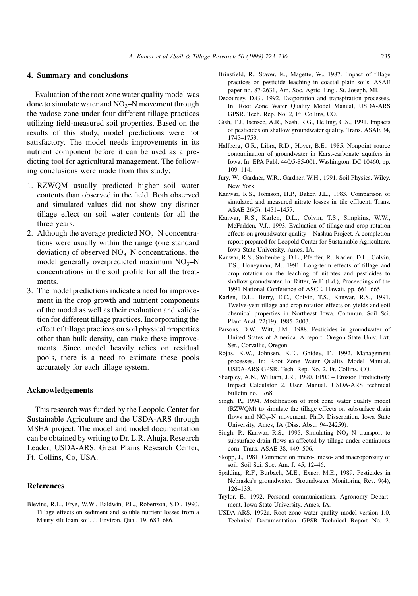## 4. Summary and conclusions

Evaluation of the root zone water quality model was done to simulate water and  $NO_3-N$  movement through the vadose zone under four different tillage practices utilizing field-measured soil properties. Based on the results of this study, model predictions were not satisfactory. The model needs improvements in its nutrient component before it can be used as a predicting tool for agricultural management. The following conclusions were made from this study:

- 1. RZWQM usually predicted higher soil water contents than observed in the field. Both observed and simulated values did not show any distinct tillage effect on soil water contents for all the three years.
- 2. Although the average predicted  $NO_3-N$  concentrations were usually within the range (one standard deviation) of observed  $NO_3-N$  concentrations, the model generally overpredicted maximum  $NO<sub>3</sub>–N$ concentrations in the soil profile for all the treatments.
- 3. The model predictions indicate a need for improvement in the crop growth and nutrient components of the model as well as their evaluation and validation for different tillage practices. Incorporating the effect of tillage practices on soil physical properties other than bulk density, can make these improvements. Since model heavily relies on residual pools, there is a need to estimate these pools accurately for each tillage system.

#### Acknowledgements

This research was funded by the Leopold Center for Sustainable Agriculture and the USDA-ARS through MSEA project. The model and model documentation can be obtained by writing to Dr. L.R. Ahuja, Research Leader, USDA-ARS, Great Plains Research Center, Ft. Collins, Co, USA.

### References

Blevins, R.L., Frye, W.W., Baldwin, P.L., Robertson, S.D., 1990. Tillage effects on sediment and soluble nutrient losses from a Maury silt loam soil. J. Environ. Qual. 19, 683-686.

- Brinsfield, R., Staver, K., Magette, W., 1987. Impact of tillage practices on pesticide leaching in coastal plain soils. ASAE paper no. 87-2631, Am. Soc. Agric. Eng., St. Joseph, MI.
- Decoursey, D.G., 1992. Evaporation and transpiration processes. In: Root Zone Water Quality Model Manual, USDA-ARS GPSR. Tech. Rep. No. 2, Ft. Collins, CO.
- Gish, T.J., Isensee, A.R., Nash, R.G., Helling, C.S., 1991. Impacts of pesticides on shallow groundwater quality. Trans. ASAE 34, 1745±1753.
- Hallberg, G.R., Libra, R.D., Hoyer, B.E., 1985. Nonpoint source contamination of groundwater in Karst-carbonate aquifers in Iowa. In: EPA Publ. 440/5-85-001, Washington, DC 10460, pp. 109±114.
- Jury, W., Gardner, W.R., Gardner, W.H., 1991. Soil Physics. Wiley, New York.
- Kanwar, R.S., Johnson, H.P., Baker, J.L., 1983. Comparison of simulated and measured nitrate losses in tile effluent. Trans. ASAE 26(5), 1451-1457.
- Kanwar, R.S., Karlen, D.L., Colvin, T.S., Simpkins, W.W., McFadden, V.J., 1993. Evaluation of tillage and crop rotation effects on groundwater quality - Nashua Project. A completion report prepared for Leopold Center for Sustainable Agriculture. Iowa State University, Ames, IA.
- Kanwar, R.S., Stoltenberg, D.E., Pfeiffer, R., Karlen, D.L., Colvin, T.S., Honeyman, M., 1991. Long-term effects of tillage and crop rotation on the leaching of nitrates and pesticides to shallow groundwater. In: Ritter, W.F. (Ed.), Proceedings of the 1991 National Conference of ASCE, Hawaii, pp. 661-665.
- Karlen, D.L., Berry, E.C., Colvin, T.S., Kanwar, R.S., 1991. Twelve-year tillage and crop rotation effects on yields and soil chemical properties in Northeast Iowa. Commun. Soil Sci. Plant Anal. 22(19), 1985-2003.
- Parsons, D.W., Witt, J.M., 1988. Pesticides in groundwater of United States of America. A report. Oregon State Univ. Ext. Ser., Corvallis, Oregon.
- Rojas, K.W., Johnsen, K.E., Ghidey, F., 1992. Management processes. In: Root Zone Water Quality Model Manual. USDA-ARS GPSR. Tech. Rep. No. 2, Ft. Collins, CO.
- Sharpley, A.N., William, J.R., 1990. EPIC Erosion Productivity Impact Calculator 2. User Manual. USDA-ARS technical bulletin no. 1768.
- Singh, P., 1994. Modification of root zone water quality model (RZWQM) to simulate the tillage effects on subsurface drain flows and  $NO_3$ -N movement. Ph.D. Dissertation. Iowa State University, Ames, IA (Diss. Abstr. 94-24259).
- Singh, P., Kanwar, R.S., 1995. Simulating  $NO_3-N$  transport to subsurface drain flows as affected by tillage under continuous corn. Trans. ASAE 38, 449-506.
- Skopp, J., 1981. Comment on micro-, meso- and macroporosity of soil. Soil Sci. Soc. Am. J. 45, 12-46.
- Spalding, R.F., Burbach, M.E., Exner, M.E., 1989. Pesticides in Nebraska's groundwater. Groundwater Monitoring Rev. 9(4), 126±133.
- Taylor, E., 1992. Personal communications. Agronomy Department, Iowa State University, Ames, IA.
- USDA-ARS, 1992a. Root zone water quality model version 1.0. Technical Documentation. GPSR Technical Report No. 2.